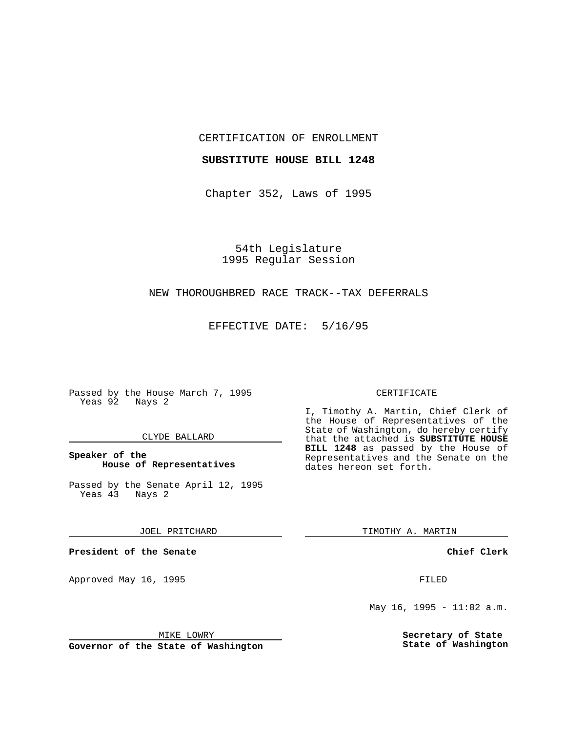CERTIFICATION OF ENROLLMENT

## **SUBSTITUTE HOUSE BILL 1248**

Chapter 352, Laws of 1995

54th Legislature 1995 Regular Session

# NEW THOROUGHBRED RACE TRACK--TAX DEFERRALS

EFFECTIVE DATE: 5/16/95

Passed by the House March 7, 1995 Yeas 92 Nays 2

## CLYDE BALLARD

# **Speaker of the House of Representatives**

Passed by the Senate April 12, 1995<br>Yeas 43 Nays 2 Yeas 43

## JOEL PRITCHARD

**President of the Senate**

Approved May 16, 1995 **FILED** 

## MIKE LOWRY

**Governor of the State of Washington**

#### CERTIFICATE

I, Timothy A. Martin, Chief Clerk of the House of Representatives of the State of Washington, do hereby certify that the attached is **SUBSTITUTE HOUSE BILL 1248** as passed by the House of Representatives and the Senate on the dates hereon set forth.

TIMOTHY A. MARTIN

## **Chief Clerk**

May 16, 1995 -  $11:02$  a.m.

**Secretary of State State of Washington**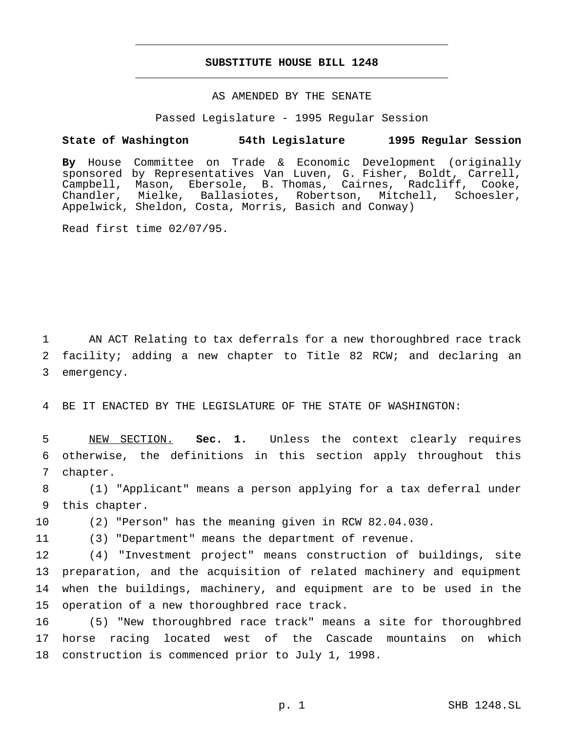# **SUBSTITUTE HOUSE BILL 1248** \_\_\_\_\_\_\_\_\_\_\_\_\_\_\_\_\_\_\_\_\_\_\_\_\_\_\_\_\_\_\_\_\_\_\_\_\_\_\_\_\_\_\_\_\_\_\_

\_\_\_\_\_\_\_\_\_\_\_\_\_\_\_\_\_\_\_\_\_\_\_\_\_\_\_\_\_\_\_\_\_\_\_\_\_\_\_\_\_\_\_\_\_\_\_

# AS AMENDED BY THE SENATE

Passed Legislature - 1995 Regular Session

## **State of Washington 54th Legislature 1995 Regular Session**

**By** House Committee on Trade & Economic Development (originally sponsored by Representatives Van Luven, G. Fisher, Boldt, Carrell, Campbell, Mason, Ebersole, B. Thomas, Cairnes, Radcliff, Cooke, Chandler, Mielke, Ballasiotes, Robertson, Mitchell, Schoesler, Appelwick, Sheldon, Costa, Morris, Basich and Conway)

Read first time 02/07/95.

1 AN ACT Relating to tax deferrals for a new thoroughbred race track 2 facility; adding a new chapter to Title 82 RCW; and declaring an 3 emergency.

4 BE IT ENACTED BY THE LEGISLATURE OF THE STATE OF WASHINGTON:

5 NEW SECTION. **Sec. 1.** Unless the context clearly requires 6 otherwise, the definitions in this section apply throughout this 7 chapter.

8 (1) "Applicant" means a person applying for a tax deferral under 9 this chapter.

10 (2) "Person" has the meaning given in RCW 82.04.030.

11 (3) "Department" means the department of revenue.

 (4) "Investment project" means construction of buildings, site preparation, and the acquisition of related machinery and equipment when the buildings, machinery, and equipment are to be used in the operation of a new thoroughbred race track.

16 (5) "New thoroughbred race track" means a site for thoroughbred 17 horse racing located west of the Cascade mountains on which 18 construction is commenced prior to July 1, 1998.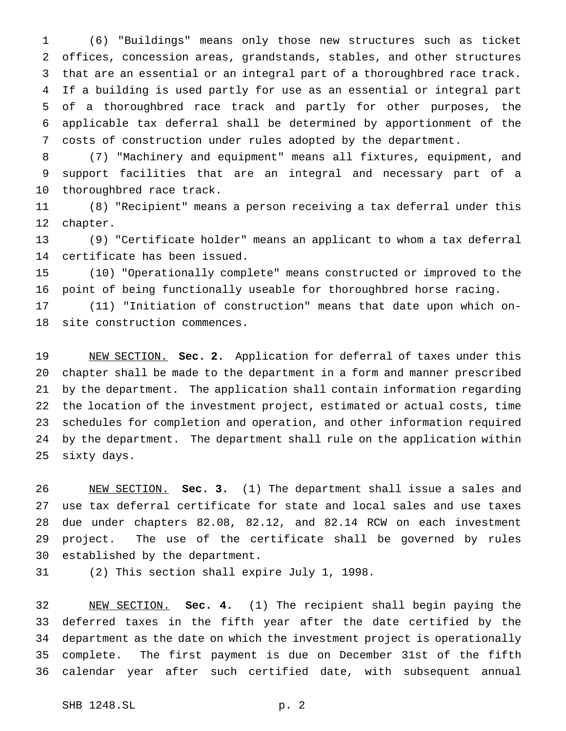(6) "Buildings" means only those new structures such as ticket offices, concession areas, grandstands, stables, and other structures that are an essential or an integral part of a thoroughbred race track. If a building is used partly for use as an essential or integral part of a thoroughbred race track and partly for other purposes, the applicable tax deferral shall be determined by apportionment of the costs of construction under rules adopted by the department.

 (7) "Machinery and equipment" means all fixtures, equipment, and support facilities that are an integral and necessary part of a thoroughbred race track.

 (8) "Recipient" means a person receiving a tax deferral under this chapter.

 (9) "Certificate holder" means an applicant to whom a tax deferral certificate has been issued.

 (10) "Operationally complete" means constructed or improved to the point of being functionally useable for thoroughbred horse racing.

 (11) "Initiation of construction" means that date upon which on-site construction commences.

 NEW SECTION. **Sec. 2.** Application for deferral of taxes under this chapter shall be made to the department in a form and manner prescribed by the department. The application shall contain information regarding the location of the investment project, estimated or actual costs, time schedules for completion and operation, and other information required by the department. The department shall rule on the application within sixty days.

 NEW SECTION. **Sec. 3.** (1) The department shall issue a sales and use tax deferral certificate for state and local sales and use taxes due under chapters 82.08, 82.12, and 82.14 RCW on each investment project. The use of the certificate shall be governed by rules established by the department.

(2) This section shall expire July 1, 1998.

 NEW SECTION. **Sec. 4.** (1) The recipient shall begin paying the deferred taxes in the fifth year after the date certified by the department as the date on which the investment project is operationally complete. The first payment is due on December 31st of the fifth calendar year after such certified date, with subsequent annual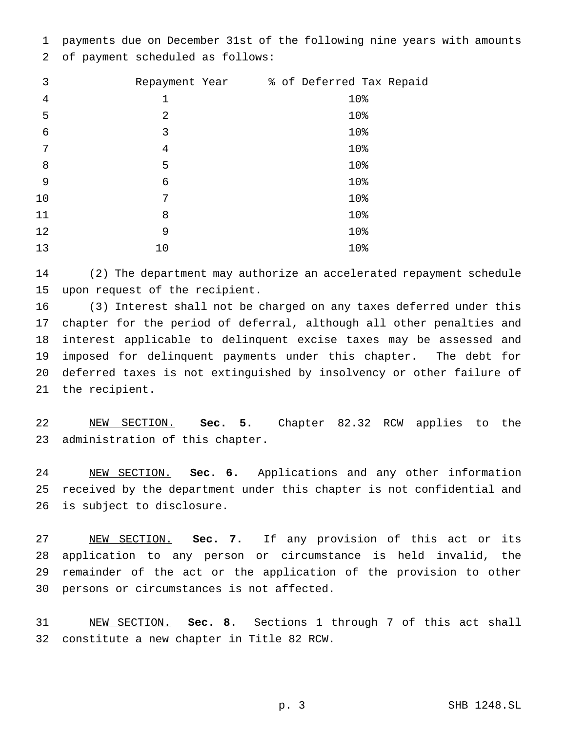payments due on December 31st of the following nine years with amounts of payment scheduled as follows:

| 3          | Repayment Year | % of Deferred Tax Repaid |
|------------|----------------|--------------------------|
| 4          | $\mathbf 1$    | 10%                      |
| 5          | $\overline{2}$ | 10%                      |
| $\epsilon$ | 3              | 10%                      |
| 7          | 4              | 10%                      |
| 8          | 5              | 10%                      |
| 9          | 6              | 10%                      |
| 10         | 7              | 10%                      |
| 11         | 8              | 10%                      |
| 12         | 9              | 10%                      |
| 13         | 10             | 10%                      |

 (2) The department may authorize an accelerated repayment schedule upon request of the recipient.

 (3) Interest shall not be charged on any taxes deferred under this chapter for the period of deferral, although all other penalties and interest applicable to delinquent excise taxes may be assessed and imposed for delinquent payments under this chapter. The debt for deferred taxes is not extinguished by insolvency or other failure of the recipient.

 NEW SECTION. **Sec. 5.** Chapter 82.32 RCW applies to the administration of this chapter.

 NEW SECTION. **Sec. 6.** Applications and any other information received by the department under this chapter is not confidential and is subject to disclosure.

 NEW SECTION. **Sec. 7.** If any provision of this act or its application to any person or circumstance is held invalid, the remainder of the act or the application of the provision to other persons or circumstances is not affected.

 NEW SECTION. **Sec. 8.** Sections 1 through 7 of this act shall constitute a new chapter in Title 82 RCW.